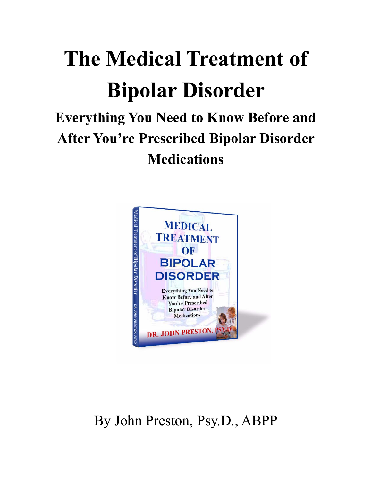# The Medical Treatment of Bipolar Disorder

# Everything You Need to Know Before and After You're Prescribed Bipolar Disorder **Medications**



# By John Preston, Psy.D., ABPP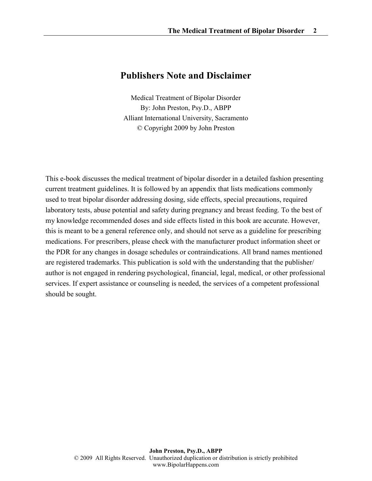# Publishers Note and Disclaimer

Medical Treatment of Bipolar Disorder By: John Preston, Psy.D., ABPP Alliant International University, Sacramento © Copyright 2009 by John Preston

This e-book discusses the medical treatment of bipolar disorder in a detailed fashion presenting current treatment guidelines. It is followed by an appendix that lists medications commonly used to treat bipolar disorder addressing dosing, side effects, special precautions, required laboratory tests, abuse potential and safety during pregnancy and breast feeding. To the best of my knowledge recommended doses and side effects listed in this book are accurate. However, this is meant to be a general reference only, and should not serve as a guideline for prescribing medications. For prescribers, please check with the manufacturer product information sheet or the PDR for any changes in dosage schedules or contraindications. All brand names mentioned are registered trademarks. This publication is sold with the understanding that the publisher/ author is not engaged in rendering psychological, financial, legal, medical, or other professional services. If expert assistance or counseling is needed, the services of a competent professional should be sought.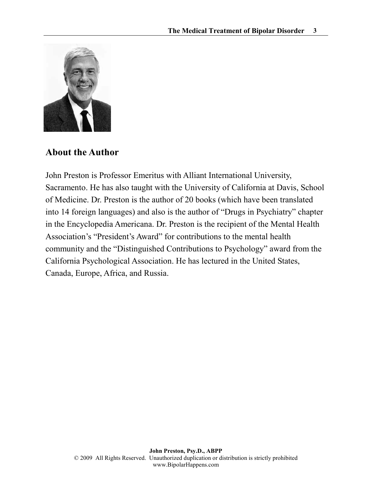

# About the Author

John Preston is Professor Emeritus with Alliant International University, Sacramento. He has also taught with the University of California at Davis, School of Medicine. Dr. Preston is the author of 20 books (which have been translated into 14 foreign languages) and also is the author of "Drugs in Psychiatry" chapter in the Encyclopedia Americana. Dr. Preston is the recipient of the Mental Health Association's "President's Award" for contributions to the mental health community and the "Distinguished Contributions to Psychology" award from the California Psychological Association. He has lectured in the United States, Canada, Europe, Africa, and Russia.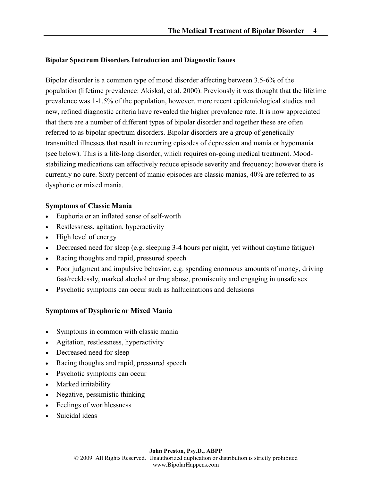#### Bipolar Spectrum Disorders Introduction and Diagnostic Issues

Bipolar disorder is a common type of mood disorder affecting between 3.5-6% of the population (lifetime prevalence: Akiskal, et al. 2000). Previously it was thought that the lifetime prevalence was 1-1.5% of the population, however, more recent epidemiological studies and new, refined diagnostic criteria have revealed the higher prevalence rate. It is now appreciated that there are a number of different types of bipolar disorder and together these are often referred to as bipolar spectrum disorders. Bipolar disorders are a group of genetically transmitted illnesses that result in recurring episodes of depression and mania or hypomania (see below). This is a life-long disorder, which requires on-going medical treatment. Moodstabilizing medications can effectively reduce episode severity and frequency; however there is currently no cure. Sixty percent of manic episodes are classic manias, 40% are referred to as dysphoric or mixed mania.

#### Symptoms of Classic Mania

- Euphoria or an inflated sense of self-worth
- Restlessness, agitation, hyperactivity
- High level of energy
- Decreased need for sleep (e.g. sleeping 3-4 hours per night, yet without daytime fatigue)
- Racing thoughts and rapid, pressured speech
- Poor judgment and impulsive behavior, e.g. spending enormous amounts of money, driving fast/recklessly, marked alcohol or drug abuse, promiscuity and engaging in unsafe sex
- Psychotic symptoms can occur such as hallucinations and delusions

# Symptoms of Dysphoric or Mixed Mania

- Symptoms in common with classic mania
- Agitation, restlessness, hyperactivity
- Decreased need for sleep
- Racing thoughts and rapid, pressured speech
- Psychotic symptoms can occur
- Marked irritability
- Negative, pessimistic thinking
- Feelings of worthlessness
- Suicidal ideas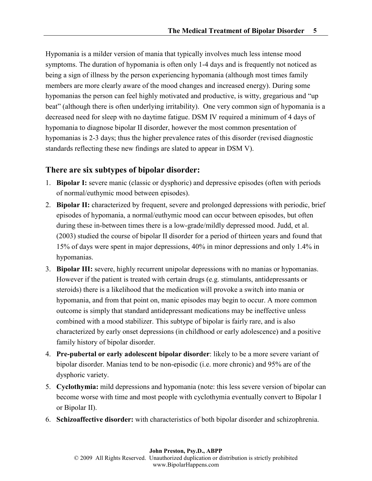Hypomania is a milder version of mania that typically involves much less intense mood symptoms. The duration of hypomania is often only 1-4 days and is frequently not noticed as being a sign of illness by the person experiencing hypomania (although most times family members are more clearly aware of the mood changes and increased energy). During some hypomanias the person can feel highly motivated and productive, is witty, gregarious and "up beat" (although there is often underlying irritability). One very common sign of hypomania is a decreased need for sleep with no daytime fatigue. DSM IV required a minimum of 4 days of hypomania to diagnose bipolar II disorder, however the most common presentation of hypomanias is 2-3 days; thus the higher prevalence rates of this disorder (revised diagnostic standards reflecting these new findings are slated to appear in DSM V).

# There are six subtypes of bipolar disorder:

- 1. Bipolar I: severe manic (classic or dysphoric) and depressive episodes (often with periods of normal/euthymic mood between episodes).
- 2. Bipolar II: characterized by frequent, severe and prolonged depressions with periodic, brief episodes of hypomania, a normal/euthymic mood can occur between episodes, but often during these in-between times there is a low-grade/mildly depressed mood. Judd, et al. (2003) studied the course of bipolar II disorder for a period of thirteen years and found that 15% of days were spent in major depressions, 40% in minor depressions and only 1.4% in hypomanias.
- 3. Bipolar III: severe, highly recurrent unipolar depressions with no manias or hypomanias. However if the patient is treated with certain drugs (e.g. stimulants, antidepressants or steroids) there is a likelihood that the medication will provoke a switch into mania or hypomania, and from that point on, manic episodes may begin to occur. A more common outcome is simply that standard antidepressant medications may be ineffective unless combined with a mood stabilizer. This subtype of bipolar is fairly rare, and is also characterized by early onset depressions (in childhood or early adolescence) and a positive family history of bipolar disorder.
- 4. Pre-pubertal or early adolescent bipolar disorder: likely to be a more severe variant of bipolar disorder. Manias tend to be non-episodic (i.e. more chronic) and 95% are of the dysphoric variety.
- 5. Cyclothymia: mild depressions and hypomania (note: this less severe version of bipolar can become worse with time and most people with cyclothymia eventually convert to Bipolar I or Bipolar II).
- 6. Schizoaffective disorder: with characteristics of both bipolar disorder and schizophrenia.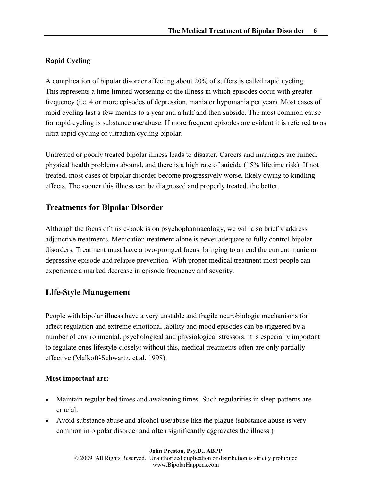# Rapid Cycling

A complication of bipolar disorder affecting about 20% of suffers is called rapid cycling. This represents a time limited worsening of the illness in which episodes occur with greater frequency (i.e. 4 or more episodes of depression, mania or hypomania per year). Most cases of rapid cycling last a few months to a year and a half and then subside. The most common cause for rapid cycling is substance use/abuse. If more frequent episodes are evident it is referred to as ultra-rapid cycling or ultradian cycling bipolar.

Untreated or poorly treated bipolar illness leads to disaster. Careers and marriages are ruined, physical health problems abound, and there is a high rate of suicide (15% lifetime risk). If not treated, most cases of bipolar disorder become progressively worse, likely owing to kindling effects. The sooner this illness can be diagnosed and properly treated, the better.

# Treatments for Bipolar Disorder

Although the focus of this e-book is on psychopharmacology, we will also briefly address adjunctive treatments. Medication treatment alone is never adequate to fully control bipolar disorders. Treatment must have a two-pronged focus: bringing to an end the current manic or depressive episode and relapse prevention. With proper medical treatment most people can experience a marked decrease in episode frequency and severity.

# Life-Style Management

People with bipolar illness have a very unstable and fragile neurobiologic mechanisms for affect regulation and extreme emotional lability and mood episodes can be triggered by a number of environmental, psychological and physiological stressors. It is especially important to regulate ones lifestyle closely: without this, medical treatments often are only partially effective (Malkoff-Schwartz, et al. 1998).

# Most important are:

- Maintain regular bed times and awakening times. Such regularities in sleep patterns are crucial.
- Avoid substance abuse and alcohol use/abuse like the plague (substance abuse is very common in bipolar disorder and often significantly aggravates the illness.)

#### John Preston, Psy.D., ABPP

© 2009 All Rights Reserved. Unauthorized duplication or distribution is strictly prohibited www.BipolarHappens.com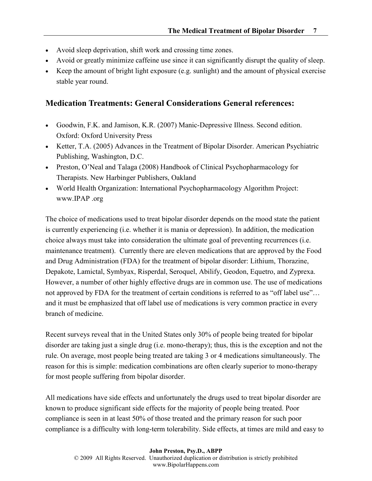- Avoid sleep deprivation, shift work and crossing time zones.
- Avoid or greatly minimize caffeine use since it can significantly disrupt the quality of sleep.
- Keep the amount of bright light exposure (e.g. sunlight) and the amount of physical exercise stable year round.

#### Medication Treatments: General Considerations General references:

- Goodwin, F.K. and Jamison, K.R. (2007) Manic-Depressive Illness. Second edition. Oxford: Oxford University Press
- Ketter, T.A. (2005) Advances in the Treatment of Bipolar Disorder. American Psychiatric Publishing, Washington, D.C.
- Preston, O'Neal and Talaga (2008) Handbook of Clinical Psychopharmacology for Therapists. New Harbinger Publishers, Oakland
- World Health Organization: International Psychopharmacology Algorithm Project: www.IPAP .org

The choice of medications used to treat bipolar disorder depends on the mood state the patient is currently experiencing (i.e. whether it is mania or depression). In addition, the medication choice always must take into consideration the ultimate goal of preventing recurrences (i.e. maintenance treatment). Currently there are eleven medications that are approved by the Food and Drug Administration (FDA) for the treatment of bipolar disorder: Lithium, Thorazine, Depakote, Lamictal, Symbyax, Risperdal, Seroquel, Abilify, Geodon, Equetro, and Zyprexa. However, a number of other highly effective drugs are in common use. The use of medications not approved by FDA for the treatment of certain conditions is referred to as "off label use"... and it must be emphasized that off label use of medications is very common practice in every branch of medicine.

Recent surveys reveal that in the United States only 30% of people being treated for bipolar disorder are taking just a single drug (i.e. mono-therapy); thus, this is the exception and not the rule. On average, most people being treated are taking 3 or 4 medications simultaneously. The reason for this is simple: medication combinations are often clearly superior to mono-therapy for most people suffering from bipolar disorder.

All medications have side effects and unfortunately the drugs used to treat bipolar disorder are known to produce significant side effects for the majority of people being treated. Poor compliance is seen in at least 50% of those treated and the primary reason for such poor compliance is a difficulty with long-term tolerability. Side effects, at times are mild and easy to

John Preston, Psy.D., ABPP © 2009 All Rights Reserved. Unauthorized duplication or distribution is strictly prohibited www.BipolarHappens.com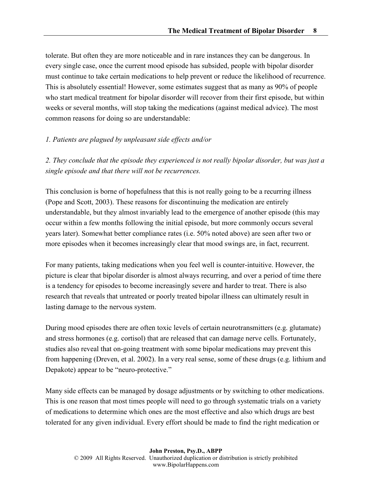tolerate. But often they are more noticeable and in rare instances they can be dangerous. In every single case, once the current mood episode has subsided, people with bipolar disorder must continue to take certain medications to help prevent or reduce the likelihood of recurrence. This is absolutely essential! However, some estimates suggest that as many as 90% of people who start medical treatment for bipolar disorder will recover from their first episode, but within weeks or several months, will stop taking the medications (against medical advice). The most common reasons for doing so are understandable:

#### 1. Patients are plagued by unpleasant side effects and/or

2. They conclude that the episode they experienced is not really bipolar disorder, but was just a single episode and that there will not be recurrences.

This conclusion is borne of hopefulness that this is not really going to be a recurring illness (Pope and Scott, 2003). These reasons for discontinuing the medication are entirely understandable, but they almost invariably lead to the emergence of another episode (this may occur within a few months following the initial episode, but more commonly occurs several years later). Somewhat better compliance rates (i.e. 50% noted above) are seen after two or more episodes when it becomes increasingly clear that mood swings are, in fact, recurrent.

For many patients, taking medications when you feel well is counter-intuitive. However, the picture is clear that bipolar disorder is almost always recurring, and over a period of time there is a tendency for episodes to become increasingly severe and harder to treat. There is also research that reveals that untreated or poorly treated bipolar illness can ultimately result in lasting damage to the nervous system.

During mood episodes there are often toxic levels of certain neurotransmitters (e.g. glutamate) and stress hormones (e.g. cortisol) that are released that can damage nerve cells. Fortunately, studies also reveal that on-going treatment with some bipolar medications may prevent this from happening (Dreven, et al. 2002). In a very real sense, some of these drugs (e.g. lithium and Depakote) appear to be "neuro-protective."

Many side effects can be managed by dosage adjustments or by switching to other medications. This is one reason that most times people will need to go through systematic trials on a variety of medications to determine which ones are the most effective and also which drugs are best tolerated for any given individual. Every effort should be made to find the right medication or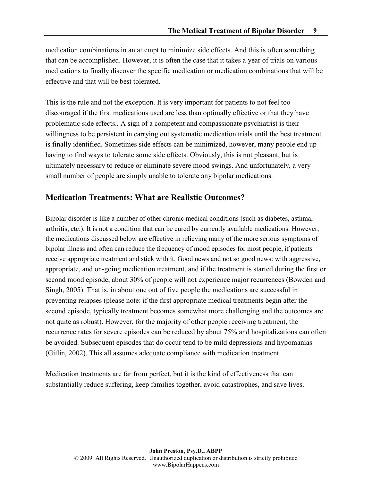medication combinations in an attempt to minimize side effects. And this is often something that can be accomplished. However, it is often the case that it takes a year of trials on various medications to finally discover the specific medication or medication combinations that will be effective and that will be best tolerated.

This is the rule and not the exception. It is very important for patients to not feel too discouraged if the first medications used are less than optimally effective or that they have problematic side effects.. A sign of a competent and compassionate psychiatrist is their willingness to be persistent in carrying out systematic medication trials until the best treatment is finally identified. Sometimes side effects can be minimized, however, many people end up having to find ways to tolerate some side effects. Obviously, this is not pleasant, but is ultimately necessary to reduce or eliminate severe mood swings. And unfortunately, a very small number of people are simply unable to tolerate any bipolar medications.

# Medication Treatments: What are Realistic Outcomes?

Bipolar disorder is like a number of other chronic medical conditions (such as diabetes, asthma, arthritis, etc.). It is not a condition that can be cured by currently available medications. However, the medications discussed below are effective in relieving many of the more serious symptoms of bipolar illness and often can reduce the frequency of mood episodes for most people, if patients receive appropriate treatment and stick with it. Good news and not so good news: with aggressive, appropriate, and on-going medication treatment, and if the treatment is started during the first or second mood episode, about 30% of people will not experience major recurrences (Bowden and Singh, 2005). That is, in about one out of five people the medications are successful in preventing relapses (please note: if the first appropriate medical treatments begin after the second episode, typically treatment becomes somewhat more challenging and the outcomes are not quite as robust). However, for the majority of other people receiving treatment, the recurrence rates for severe episodes can be reduced by about 75% and hospitalizations can often be avoided. Subsequent episodes that do occur tend to be mild depressions and hypomanias (Gitlin, 2002). This all assumes adequate compliance with medication treatment.

Medication treatments are far from perfect, but it is the kind of effectiveness that can substantially reduce suffering, keep families together, avoid catastrophes, and save lives.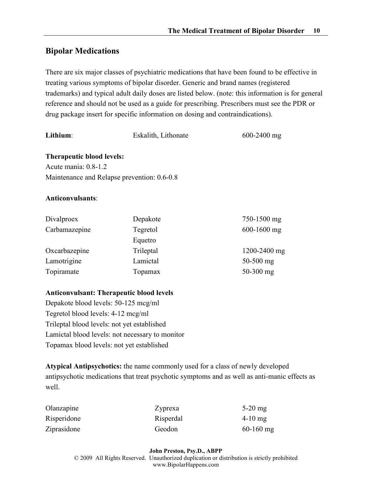# Bipolar Medications

There are six major classes of psychiatric medications that have been found to be effective in treating various symptoms of bipolar disorder. Generic and brand names (registered trademarks) and typical adult daily doses are listed below. (note: this information is for general reference and should not be used as a guide for prescribing. Prescribers must see the PDR or drug package insert for specific information on dosing and contraindications).

| Lithium:                                                                                         | Eskalith, Lithonate | $600 - 2400$ mg |  |  |
|--------------------------------------------------------------------------------------------------|---------------------|-----------------|--|--|
| Therapeutic blood levels:<br>Acute mania: 0.8-1.2<br>Maintenance and Relapse prevention: 0.6-0.8 |                     |                 |  |  |
| <b>Anticonvulsants:</b>                                                                          |                     |                 |  |  |
| Divalproex                                                                                       | Depakote            | 750-1500 mg     |  |  |
| Carbamazepine                                                                                    | Tegretol            | $600-1600$ mg   |  |  |
|                                                                                                  | Equetro             |                 |  |  |
| Oxcarbazepine                                                                                    | Trileptal           | 1200-2400 mg    |  |  |
| Lamotrigine                                                                                      | Lamictal            | $50-500$ mg     |  |  |
| Topiramate                                                                                       | Topamax             | $50-300$ mg     |  |  |

#### Anticonvulsant: Therapeutic blood levels

Depakote blood levels: 50-125 mcg/ml Tegretol blood levels: 4-12 mcg/ml Trileptal blood levels: not yet established Lamictal blood levels: not necessary to monitor Topamax blood levels: not yet established

Atypical Antipsychotics: the name commonly used for a class of newly developed antipsychotic medications that treat psychotic symptoms and as well as anti-manic effects as well.

| Olanzapine  | Zyprexa   | $5-20$ mg   |
|-------------|-----------|-------------|
| Risperidone | Risperdal | $4-10$ mg   |
| Ziprasidone | Geodon    | $60-160$ mg |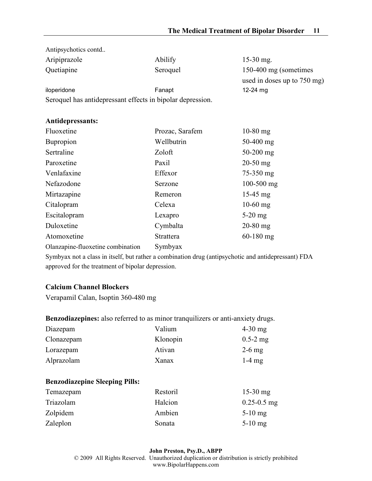| Antipsychotics contd                                       |                  |                             |
|------------------------------------------------------------|------------------|-----------------------------|
| Aripiprazole                                               | Abilify          | $15-30$ mg.                 |
| Quetiapine                                                 | Seroquel         | 150-400 mg (sometimes       |
|                                                            |                  | used in doses up to 750 mg) |
| iloperidone                                                | Fanapt           | 12-24 mg                    |
| Seroquel has antidepressant effects in bipolar depression. |                  |                             |
|                                                            |                  |                             |
| <b>Antidepressants:</b>                                    |                  |                             |
| Fluoxetine                                                 | Prozac, Sarafem  | $10-80$ mg                  |
| <b>Bupropion</b>                                           | Wellbutrin       | $50-400$ mg                 |
| Sertraline                                                 | Zoloft           | $50-200$ mg                 |
| Paroxetine                                                 | Paxil            | $20-50$ mg                  |
| Venlafaxine                                                | Effexor          | 75-350 mg                   |
| Nefazodone                                                 | Serzone          | $100 - 500$ mg              |
| Mirtazapine                                                | Remeron          | $15-45$ mg                  |
| Citalopram                                                 | Celexa           | $10-60$ mg                  |
| Escitalopram                                               | Lexapro          | $5-20$ mg                   |
| Duloxetine                                                 | Cymbalta         | $20-80$ mg                  |
| Atomoxetine                                                | <b>Strattera</b> | $60-180$ mg                 |
| Olanzapine-fluoxetine combination                          | Symbyax          |                             |

Symbyax not a class in itself, but rather a combination drug (antipsychotic and antidepressant) FDA approved for the treatment of bipolar depression.

#### Calcium Channel Blockers

Verapamil Calan, Isoptin 360-480 mg

# Benzodiazepines: also referred to as minor tranquilizers or anti-anxiety drugs.

| Diazepam   | Valium   | $4-30$ mg    |
|------------|----------|--------------|
| Clonazepam | Klonopin | $0.5 - 2$ mg |
| Lorazepam  | Ativan   | $2-6$ mg     |
| Alprazolam | Xanax    | $1-4$ mg     |

#### Benzodiazepine Sleeping Pills:

| Temazepam | Restoril | $15-30$ mg      |
|-----------|----------|-----------------|
| Triazolam | Halcion  | $0.25 - 0.5$ mg |
| Zolpidem  | Ambien   | $5-10$ mg       |
| Zaleplon  | Sonata   | $5-10$ mg       |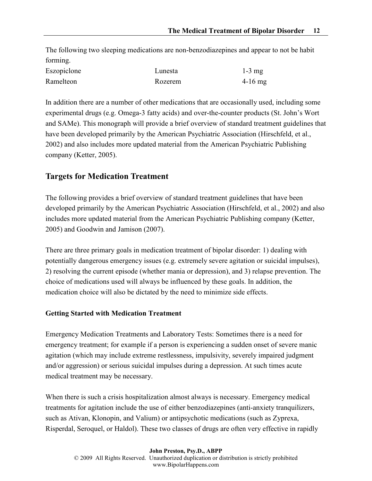The following two sleeping medications are non-benzodiazepines and appear to not be habit forming.

| Eszopiclone | Lunesta | $1-3$ mg  |
|-------------|---------|-----------|
| Ramelteon   | Rozerem | $4-16$ mg |

In addition there are a number of other medications that are occasionally used, including some experimental drugs (e.g. Omega-3 fatty acids) and over-the-counter products (St. John's Wort and SAMe). This monograph will provide a brief overview of standard treatment guidelines that have been developed primarily by the American Psychiatric Association (Hirschfeld, et al., 2002) and also includes more updated material from the American Psychiatric Publishing company (Ketter, 2005).

# Targets for Medication Treatment

The following provides a brief overview of standard treatment guidelines that have been developed primarily by the American Psychiatric Association (Hirschfeld, et al., 2002) and also includes more updated material from the American Psychiatric Publishing company (Ketter, 2005) and Goodwin and Jamison (2007).

There are three primary goals in medication treatment of bipolar disorder: 1) dealing with potentially dangerous emergency issues (e.g. extremely severe agitation or suicidal impulses), 2) resolving the current episode (whether mania or depression), and 3) relapse prevention. The choice of medications used will always be influenced by these goals. In addition, the medication choice will also be dictated by the need to minimize side effects.

#### Getting Started with Medication Treatment

Emergency Medication Treatments and Laboratory Tests: Sometimes there is a need for emergency treatment; for example if a person is experiencing a sudden onset of severe manic agitation (which may include extreme restlessness, impulsivity, severely impaired judgment and/or aggression) or serious suicidal impulses during a depression. At such times acute medical treatment may be necessary.

When there is such a crisis hospitalization almost always is necessary. Emergency medical treatments for agitation include the use of either benzodiazepines (anti-anxiety tranquilizers, such as Ativan, Klonopin, and Valium) or antipsychotic medications (such as Zyprexa, Risperdal, Seroquel, or Haldol). These two classes of drugs are often very effective in rapidly

John Preston, Psy.D., ABPP © 2009 All Rights Reserved. Unauthorized duplication or distribution is strictly prohibited www.BipolarHappens.com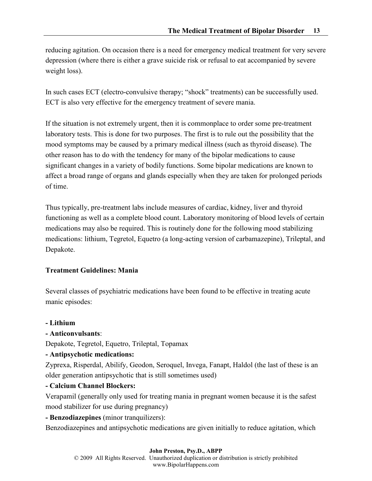reducing agitation. On occasion there is a need for emergency medical treatment for very severe depression (where there is either a grave suicide risk or refusal to eat accompanied by severe weight loss).

In such cases ECT (electro-convulsive therapy; "shock" treatments) can be successfully used. ECT is also very effective for the emergency treatment of severe mania.

If the situation is not extremely urgent, then it is commonplace to order some pre-treatment laboratory tests. This is done for two purposes. The first is to rule out the possibility that the mood symptoms may be caused by a primary medical illness (such as thyroid disease). The other reason has to do with the tendency for many of the bipolar medications to cause significant changes in a variety of bodily functions. Some bipolar medications are known to affect a broad range of organs and glands especially when they are taken for prolonged periods of time.

Thus typically, pre-treatment labs include measures of cardiac, kidney, liver and thyroid functioning as well as a complete blood count. Laboratory monitoring of blood levels of certain medications may also be required. This is routinely done for the following mood stabilizing medications: lithium, Tegretol, Equetro (a long-acting version of carbamazepine), Trileptal, and Depakote.

#### Treatment Guidelines: Mania

Several classes of psychiatric medications have been found to be effective in treating acute manic episodes:

#### - Lithium

#### - Anticonvulsants:

Depakote, Tegretol, Equetro, Trileptal, Topamax

#### - Antipsychotic medications:

Zyprexa, Risperdal, Abilify, Geodon, Seroquel, Invega, Fanapt, Haldol (the last of these is an older generation antipsychotic that is still sometimes used)

#### - Calcium Channel Blockers:

Verapamil (generally only used for treating mania in pregnant women because it is the safest mood stabilizer for use during pregnancy)

- Benzodiazepines (minor tranquilizers):

Benzodiazepines and antipsychotic medications are given initially to reduce agitation, which

#### John Preston, Psy.D., ABPP

© 2009 All Rights Reserved. Unauthorized duplication or distribution is strictly prohibited www.BipolarHappens.com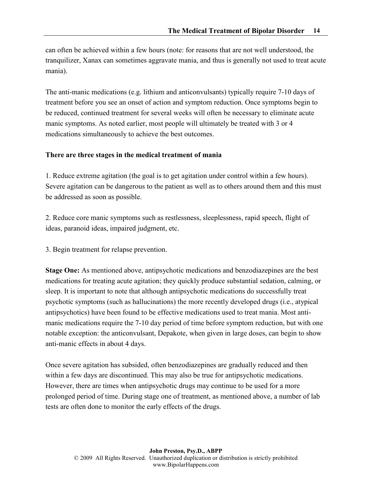can often be achieved within a few hours (note: for reasons that are not well understood, the tranquilizer, Xanax can sometimes aggravate mania, and thus is generally not used to treat acute mania).

The anti-manic medications (e.g. lithium and anticonvulsants) typically require 7-10 days of treatment before you see an onset of action and symptom reduction. Once symptoms begin to be reduced, continued treatment for several weeks will often be necessary to eliminate acute manic symptoms. As noted earlier, most people will ultimately be treated with 3 or 4 medications simultaneously to achieve the best outcomes.

#### There are three stages in the medical treatment of mania

1. Reduce extreme agitation (the goal is to get agitation under control within a few hours). Severe agitation can be dangerous to the patient as well as to others around them and this must be addressed as soon as possible.

2. Reduce core manic symptoms such as restlessness, sleeplessness, rapid speech, flight of ideas, paranoid ideas, impaired judgment, etc.

3. Begin treatment for relapse prevention.

Stage One: As mentioned above, antipsychotic medications and benzodiazepines are the best medications for treating acute agitation; they quickly produce substantial sedation, calming, or sleep. It is important to note that although antipsychotic medications do successfully treat psychotic symptoms (such as hallucinations) the more recently developed drugs (i.e., atypical antipsychotics) have been found to be effective medications used to treat mania. Most antimanic medications require the 7-10 day period of time before symptom reduction, but with one notable exception: the anticonvulsant, Depakote, when given in large doses, can begin to show anti-manic effects in about 4 days.

Once severe agitation has subsided, often benzodiazepines are gradually reduced and then within a few days are discontinued. This may also be true for antipsychotic medications. However, there are times when antipsychotic drugs may continue to be used for a more prolonged period of time. During stage one of treatment, as mentioned above, a number of lab tests are often done to monitor the early effects of the drugs.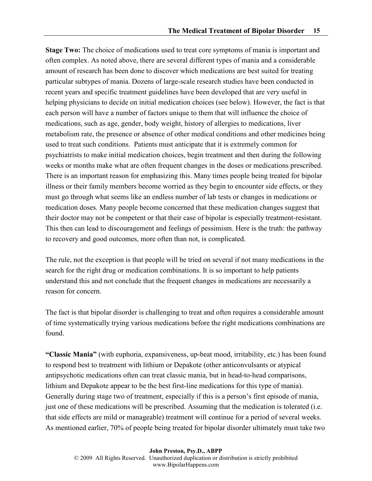Stage Two: The choice of medications used to treat core symptoms of mania is important and often complex. As noted above, there are several different types of mania and a considerable amount of research has been done to discover which medications are best suited for treating particular subtypes of mania. Dozens of large-scale research studies have been conducted in recent years and specific treatment guidelines have been developed that are very useful in helping physicians to decide on initial medication choices (see below). However, the fact is that each person will have a number of factors unique to them that will influence the choice of medications, such as age, gender, body weight, history of allergies to medications, liver metabolism rate, the presence or absence of other medical conditions and other medicines being used to treat such conditions. Patients must anticipate that it is extremely common for psychiatrists to make initial medication choices, begin treatment and then during the following weeks or months make what are often frequent changes in the doses or medications prescribed. There is an important reason for emphasizing this. Many times people being treated for bipolar illness or their family members become worried as they begin to encounter side effects, or they must go through what seems like an endless number of lab tests or changes in medications or medication doses. Many people become concerned that these medication changes suggest that their doctor may not be competent or that their case of bipolar is especially treatment-resistant. This then can lead to discouragement and feelings of pessimism. Here is the truth: the pathway to recovery and good outcomes, more often than not, is complicated.

The rule, not the exception is that people will be tried on several if not many medications in the search for the right drug or medication combinations. It is so important to help patients understand this and not conclude that the frequent changes in medications are necessarily a reason for concern.

The fact is that bipolar disorder is challenging to treat and often requires a considerable amount of time systematically trying various medications before the right medications combinations are found.

"Classic Mania" (with euphoria, expansiveness, up-beat mood, irritability, etc.) has been found to respond best to treatment with lithium or Depakote (other anticonvulsants or atypical antipsychotic medications often can treat classic mania, but in head-to-head comparisons, lithium and Depakote appear to be the best first-line medications for this type of mania). Generally during stage two of treatment, especially if this is a person's first episode of mania, just one of these medications will be prescribed. Assuming that the medication is tolerated (i.e. that side effects are mild or manageable) treatment will continue for a period of several weeks. As mentioned earlier, 70% of people being treated for bipolar disorder ultimately must take two

John Preston, Psy.D., ABPP © 2009 All Rights Reserved. Unauthorized duplication or distribution is strictly prohibited www.BipolarHappens.com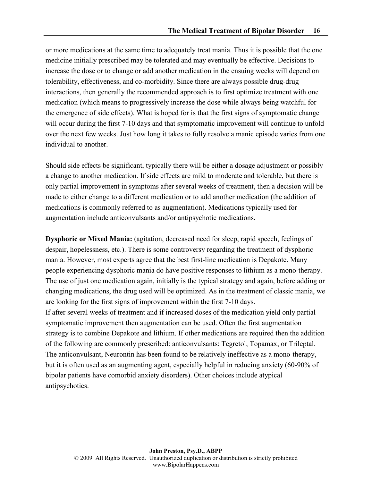or more medications at the same time to adequately treat mania. Thus it is possible that the one medicine initially prescribed may be tolerated and may eventually be effective. Decisions to increase the dose or to change or add another medication in the ensuing weeks will depend on tolerability, effectiveness, and co-morbidity. Since there are always possible drug-drug interactions, then generally the recommended approach is to first optimize treatment with one medication (which means to progressively increase the dose while always being watchful for the emergence of side effects). What is hoped for is that the first signs of symptomatic change will occur during the first 7-10 days and that symptomatic improvement will continue to unfold over the next few weeks. Just how long it takes to fully resolve a manic episode varies from one individual to another.

Should side effects be significant, typically there will be either a dosage adjustment or possibly a change to another medication. If side effects are mild to moderate and tolerable, but there is only partial improvement in symptoms after several weeks of treatment, then a decision will be made to either change to a different medication or to add another medication (the addition of medications is commonly referred to as augmentation). Medications typically used for augmentation include anticonvulsants and/or antipsychotic medications.

Dysphoric or Mixed Mania: (agitation, decreased need for sleep, rapid speech, feelings of despair, hopelessness, etc.). There is some controversy regarding the treatment of dysphoric mania. However, most experts agree that the best first-line medication is Depakote. Many people experiencing dysphoric mania do have positive responses to lithium as a mono-therapy. The use of just one medication again, initially is the typical strategy and again, before adding or changing medications, the drug used will be optimized. As in the treatment of classic mania, we are looking for the first signs of improvement within the first 7-10 days. If after several weeks of treatment and if increased doses of the medication yield only partial symptomatic improvement then augmentation can be used. Often the first augmentation strategy is to combine Depakote and lithium. If other medications are required then the addition of the following are commonly prescribed: anticonvulsants: Tegretol, Topamax, or Trileptal. The anticonvulsant, Neurontin has been found to be relatively ineffective as a mono-therapy, but it is often used as an augmenting agent, especially helpful in reducing anxiety (60-90% of bipolar patients have comorbid anxiety disorders). Other choices include atypical antipsychotics.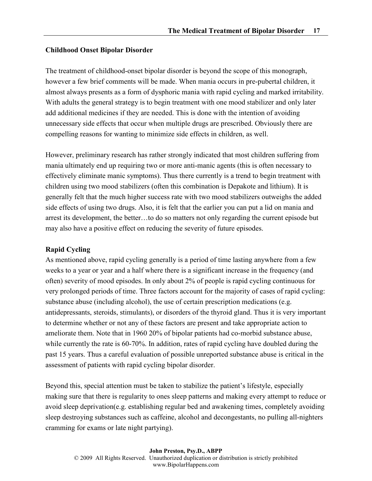#### Childhood Onset Bipolar Disorder

The treatment of childhood-onset bipolar disorder is beyond the scope of this monograph, however a few brief comments will be made. When mania occurs in pre-pubertal children, it almost always presents as a form of dysphoric mania with rapid cycling and marked irritability. With adults the general strategy is to begin treatment with one mood stabilizer and only later add additional medicines if they are needed. This is done with the intention of avoiding unnecessary side effects that occur when multiple drugs are prescribed. Obviously there are compelling reasons for wanting to minimize side effects in children, as well.

However, preliminary research has rather strongly indicated that most children suffering from mania ultimately end up requiring two or more anti-manic agents (this is often necessary to effectively eliminate manic symptoms). Thus there currently is a trend to begin treatment with children using two mood stabilizers (often this combination is Depakote and lithium). It is generally felt that the much higher success rate with two mood stabilizers outweighs the added side effects of using two drugs. Also, it is felt that the earlier you can put a lid on mania and arrest its development, the better…to do so matters not only regarding the current episode but may also have a positive effect on reducing the severity of future episodes.

#### Rapid Cycling

As mentioned above, rapid cycling generally is a period of time lasting anywhere from a few weeks to a year or year and a half where there is a significant increase in the frequency (and often) severity of mood episodes. In only about 2% of people is rapid cycling continuous for very prolonged periods of time. Three factors account for the majority of cases of rapid cycling: substance abuse (including alcohol), the use of certain prescription medications (e.g. antidepressants, steroids, stimulants), or disorders of the thyroid gland. Thus it is very important to determine whether or not any of these factors are present and take appropriate action to ameliorate them. Note that in 1960 20% of bipolar patients had co-morbid substance abuse, while currently the rate is 60-70%. In addition, rates of rapid cycling have doubled during the past 15 years. Thus a careful evaluation of possible unreported substance abuse is critical in the assessment of patients with rapid cycling bipolar disorder.

Beyond this, special attention must be taken to stabilize the patient's lifestyle, especially making sure that there is regularity to ones sleep patterns and making every attempt to reduce or avoid sleep deprivation(e.g. establishing regular bed and awakening times, completely avoiding sleep destroying substances such as caffeine, alcohol and decongestants, no pulling all-nighters cramming for exams or late night partying).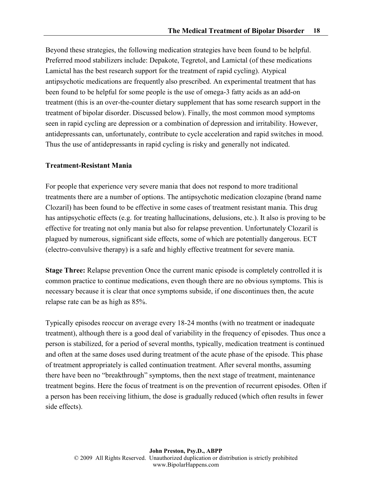Beyond these strategies, the following medication strategies have been found to be helpful. Preferred mood stabilizers include: Depakote, Tegretol, and Lamictal (of these medications Lamictal has the best research support for the treatment of rapid cycling). Atypical antipsychotic medications are frequently also prescribed. An experimental treatment that has been found to be helpful for some people is the use of omega-3 fatty acids as an add-on treatment (this is an over-the-counter dietary supplement that has some research support in the treatment of bipolar disorder. Discussed below). Finally, the most common mood symptoms seen in rapid cycling are depression or a combination of depression and irritability. However, antidepressants can, unfortunately, contribute to cycle acceleration and rapid switches in mood. Thus the use of antidepressants in rapid cycling is risky and generally not indicated.

#### Treatment-Resistant Mania

For people that experience very severe mania that does not respond to more traditional treatments there are a number of options. The antipsychotic medication clozapine (brand name Clozaril) has been found to be effective in some cases of treatment resistant mania. This drug has antipsychotic effects (e.g. for treating hallucinations, delusions, etc.). It also is proving to be effective for treating not only mania but also for relapse prevention. Unfortunately Clozaril is plagued by numerous, significant side effects, some of which are potentially dangerous. ECT (electro-convulsive therapy) is a safe and highly effective treatment for severe mania.

Stage Three: Relapse prevention Once the current manic episode is completely controlled it is common practice to continue medications, even though there are no obvious symptoms. This is necessary because it is clear that once symptoms subside, if one discontinues then, the acute relapse rate can be as high as 85%.

Typically episodes reoccur on average every 18-24 months (with no treatment or inadequate treatment), although there is a good deal of variability in the frequency of episodes. Thus once a person is stabilized, for a period of several months, typically, medication treatment is continued and often at the same doses used during treatment of the acute phase of the episode. This phase of treatment appropriately is called continuation treatment. After several months, assuming there have been no "breakthrough" symptoms, then the next stage of treatment, maintenance treatment begins. Here the focus of treatment is on the prevention of recurrent episodes. Often if a person has been receiving lithium, the dose is gradually reduced (which often results in fewer side effects).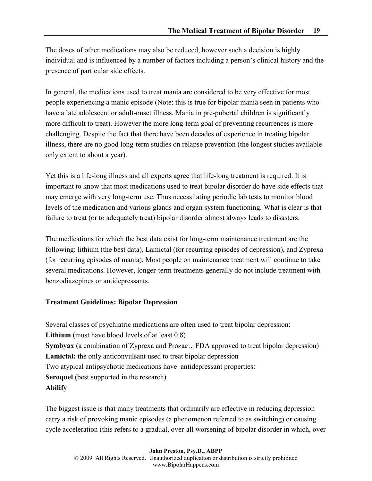The doses of other medications may also be reduced, however such a decision is highly individual and is influenced by a number of factors including a person's clinical history and the presence of particular side effects.

In general, the medications used to treat mania are considered to be very effective for most people experiencing a manic episode (Note: this is true for bipolar mania seen in patients who have a late adolescent or adult-onset illness. Mania in pre-pubertal children is significantly more difficult to treat). However the more long-term goal of preventing recurrences is more challenging. Despite the fact that there have been decades of experience in treating bipolar illness, there are no good long-term studies on relapse prevention (the longest studies available only extent to about a year).

Yet this is a life-long illness and all experts agree that life-long treatment is required. It is important to know that most medications used to treat bipolar disorder do have side effects that may emerge with very long-term use. Thus necessitating periodic lab tests to monitor blood levels of the medication and various glands and organ system functioning. What is clear is that failure to treat (or to adequately treat) bipolar disorder almost always leads to disasters.

The medications for which the best data exist for long-term maintenance treatment are the following: lithium (the best data), Lamictal (for recurring episodes of depression), and Zyprexa (for recurring episodes of mania). Most people on maintenance treatment will continue to take several medications. However, longer-term treatments generally do not include treatment with benzodiazepines or antidepressants.

#### Treatment Guidelines: Bipolar Depression

Several classes of psychiatric medications are often used to treat bipolar depression: Lithium (must have blood levels of at least 0.8) Symbyax (a combination of Zyprexa and Prozac…FDA approved to treat bipolar depression) Lamictal: the only anticonvulsant used to treat bipolar depression Two atypical antipsychotic medications have antidepressant properties: Seroquel (best supported in the research) Abilify

The biggest issue is that many treatments that ordinarily are effective in reducing depression carry a risk of provoking manic episodes (a phenomenon referred to as switching) or causing cycle acceleration (this refers to a gradual, over-all worsening of bipolar disorder in which, over

John Preston, Psy.D., ABPP © 2009 All Rights Reserved. Unauthorized duplication or distribution is strictly prohibited www.BipolarHappens.com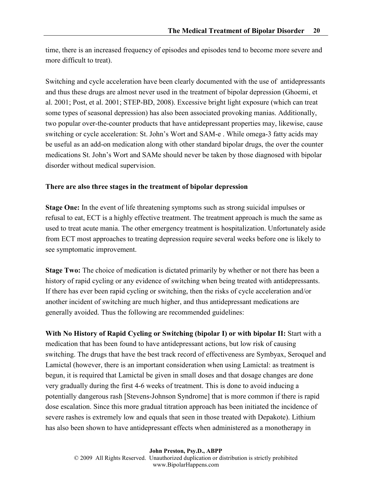time, there is an increased frequency of episodes and episodes tend to become more severe and more difficult to treat).

Switching and cycle acceleration have been clearly documented with the use of antidepressants and thus these drugs are almost never used in the treatment of bipolar depression (Ghoemi, et al. 2001; Post, et al. 2001; STEP-BD, 2008). Excessive bright light exposure (which can treat some types of seasonal depression) has also been associated provoking manias. Additionally, two popular over-the-counter products that have antidepressant properties may, likewise, cause switching or cycle acceleration: St. John's Wort and SAM-e . While omega-3 fatty acids may be useful as an add-on medication along with other standard bipolar drugs, the over the counter medications St. John's Wort and SAMe should never be taken by those diagnosed with bipolar disorder without medical supervision.

#### There are also three stages in the treatment of bipolar depression

Stage One: In the event of life threatening symptoms such as strong suicidal impulses or refusal to eat, ECT is a highly effective treatment. The treatment approach is much the same as used to treat acute mania. The other emergency treatment is hospitalization. Unfortunately aside from ECT most approaches to treating depression require several weeks before one is likely to see symptomatic improvement.

Stage Two: The choice of medication is dictated primarily by whether or not there has been a history of rapid cycling or any evidence of switching when being treated with antidepressants. If there has ever been rapid cycling or switching, then the risks of cycle acceleration and/or another incident of switching are much higher, and thus antidepressant medications are generally avoided. Thus the following are recommended guidelines:

With No History of Rapid Cycling or Switching (bipolar I) or with bipolar II: Start with a medication that has been found to have antidepressant actions, but low risk of causing switching. The drugs that have the best track record of effectiveness are Symbyax, Seroquel and Lamictal (however, there is an important consideration when using Lamictal: as treatment is begun, it is required that Lamictal be given in small doses and that dosage changes are done very gradually during the first 4-6 weeks of treatment. This is done to avoid inducing a potentially dangerous rash [Stevens-Johnson Syndrome] that is more common if there is rapid dose escalation. Since this more gradual titration approach has been initiated the incidence of severe rashes is extremely low and equals that seen in those treated with Depakote). Lithium has also been shown to have antidepressant effects when administered as a monotherapy in

John Preston, Psy.D., ABPP © 2009 All Rights Reserved. Unauthorized duplication or distribution is strictly prohibited www.BipolarHappens.com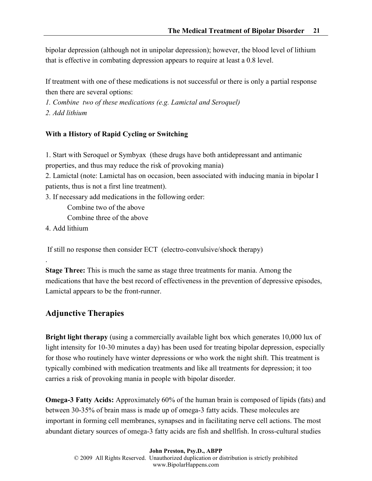bipolar depression (although not in unipolar depression); however, the blood level of lithium that is effective in combating depression appears to require at least a 0.8 level.

If treatment with one of these medications is not successful or there is only a partial response then there are several options:

1. Combine two of these medications (e.g. Lamictal and Seroquel) 2. Add lithium

#### With a History of Rapid Cycling or Switching

1. Start with Seroquel or Symbyax (these drugs have both antidepressant and antimanic properties, and thus may reduce the risk of provoking mania)

2. Lamictal (note: Lamictal has on occasion, been associated with inducing mania in bipolar I patients, thus is not a first line treatment).

3. If necessary add medications in the following order:

Combine two of the above

Combine three of the above

4. Add lithium

.

If still no response then consider ECT (electro-convulsive/shock therapy)

Stage Three: This is much the same as stage three treatments for mania. Among the medications that have the best record of effectiveness in the prevention of depressive episodes, Lamictal appears to be the front-runner.

# Adjunctive Therapies

Bright light therapy (using a commercially available light box which generates 10,000 lux of light intensity for 10-30 minutes a day) has been used for treating bipolar depression, especially for those who routinely have winter depressions or who work the night shift. This treatment is typically combined with medication treatments and like all treatments for depression; it too carries a risk of provoking mania in people with bipolar disorder.

Omega-3 Fatty Acids: Approximately 60% of the human brain is composed of lipids (fats) and between 30-35% of brain mass is made up of omega-3 fatty acids. These molecules are important in forming cell membranes, synapses and in facilitating nerve cell actions. The most abundant dietary sources of omega-3 fatty acids are fish and shellfish. In cross-cultural studies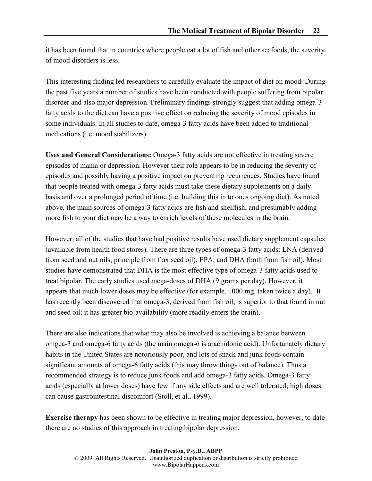it has been found that in countries where people eat a lot of fish and other seafoods, the severity of mood disorders is less.

This interesting finding led researchers to carefully evaluate the impact of diet on mood. During the past five years a number of studies have been conducted with people suffering from bipolar disorder and also major depression. Preliminary findings strongly suggest that adding omega-3 fatty acids to the diet can have a positive effect on reducing the severity of mood episodes in some individuals. In all studies to date, omega-3 fatty acids have been added to traditional medications (i.e. mood stabilizers).

Uses and General Considerations: Omega-3 fatty acids are not effective in treating severe episodes of mania or depression. However their role appears to be in reducing the severity of episodes and possibly having a positive impact on preventing recurrences. Studies have found that people treated with omega-3 fatty acids must take these dietary supplements on a daily basis and over a prolonged period of time (i.e. building this in to ones ongoing diet). As noted above, the main sources of omega-3 fatty acids are fish and shellfish, and presumably adding more fish to your diet may be a way to enrich levels of these molecules in the brain.

However, all of the studies that have had positive results have used dietary supplement capsules (available from health food stores). There are three types of omega-3 fatty acids: LNA (derived from seed and nut oils, principle from flax seed oil), EPA, and DHA (both from fish oil). Most studies have demonstrated that DHA is the most effective type of omega-3 fatty acids used to treat bipolar. The early studies used mega-doses of DHA (9 grams per day). However, it appears that much lower doses may be effective (for example, 1000 mg. taken twice a day). It has recently been discovered that omega-3, derived from fish oil, is superior to that found in nut and seed oil; it has greater bio-availability (more readily enters the brain).

There are also indications that what may also be involved is achieving a balance between omgea-3 and omega-6 fatty acids (the main omega-6 is arachidonic acid). Unfortunately dietary habits in the United States are notoriously poor, and lots of snack and junk foods contain significant amounts of omega-6 fatty acids (this may throw things out of balance). Thus a recommended strategy is to reduce junk foods and add omega-3 fatty acids. Omega-3 fatty acids (especially at lower doses) have few if any side effects and are well tolerated; high doses can cause gastrointestinal discomfort (Stoll, et al., 1999).

Exercise therapy has been shown to be effective in treating major depression, however, to date there are no studies of this approach in treating bipolar depression.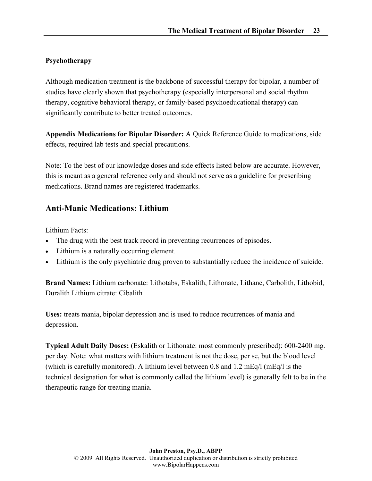### Psychotherapy

Although medication treatment is the backbone of successful therapy for bipolar, a number of studies have clearly shown that psychotherapy (especially interpersonal and social rhythm therapy, cognitive behavioral therapy, or family-based psychoeducational therapy) can significantly contribute to better treated outcomes.

Appendix Medications for Bipolar Disorder: A Quick Reference Guide to medications, side effects, required lab tests and special precautions.

Note: To the best of our knowledge doses and side effects listed below are accurate. However, this is meant as a general reference only and should not serve as a guideline for prescribing medications. Brand names are registered trademarks.

# Anti-Manic Medications: Lithium

Lithium Facts:

- The drug with the best track record in preventing recurrences of episodes.
- Lithium is a naturally occurring element.
- Lithium is the only psychiatric drug proven to substantially reduce the incidence of suicide.

Brand Names: Lithium carbonate: Lithotabs, Eskalith, Lithonate, Lithane, Carbolith, Lithobid, Duralith Lithium citrate: Cibalith

Uses: treats mania, bipolar depression and is used to reduce recurrences of mania and depression.

Typical Adult Daily Doses: (Eskalith or Lithonate: most commonly prescribed): 600-2400 mg. per day. Note: what matters with lithium treatment is not the dose, per se, but the blood level (which is carefully monitored). A lithium level between 0.8 and 1.2 mEq/l (mEq/l is the technical designation for what is commonly called the lithium level) is generally felt to be in the therapeutic range for treating mania.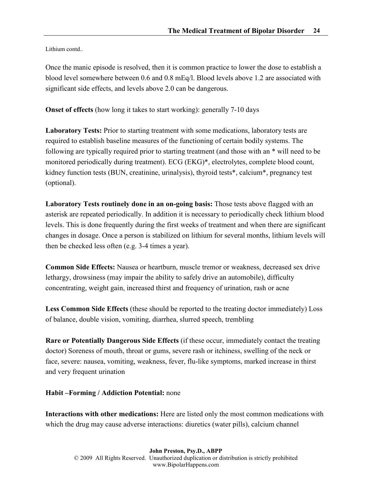Lithium contd..

Once the manic episode is resolved, then it is common practice to lower the dose to establish a blood level somewhere between 0.6 and 0.8 mEq/l. Blood levels above 1.2 are associated with significant side effects, and levels above 2.0 can be dangerous.

Onset of effects (how long it takes to start working): generally 7-10 days

Laboratory Tests: Prior to starting treatment with some medications, laboratory tests are required to establish baseline measures of the functioning of certain bodily systems. The following are typically required prior to starting treatment (and those with an \* will need to be monitored periodically during treatment). ECG (EKG)\*, electrolytes, complete blood count, kidney function tests (BUN, creatinine, urinalysis), thyroid tests\*, calcium\*, pregnancy test (optional).

Laboratory Tests routinely done in an on-going basis: Those tests above flagged with an asterisk are repeated periodically. In addition it is necessary to periodically check lithium blood levels. This is done frequently during the first weeks of treatment and when there are significant changes in dosage. Once a person is stabilized on lithium for several months, lithium levels will then be checked less often (e.g. 3-4 times a year).

Common Side Effects: Nausea or heartburn, muscle tremor or weakness, decreased sex drive lethargy, drowsiness (may impair the ability to safely drive an automobile), difficulty concentrating, weight gain, increased thirst and frequency of urination, rash or acne

Less Common Side Effects (these should be reported to the treating doctor immediately) Loss of balance, double vision, vomiting, diarrhea, slurred speech, trembling

Rare or Potentially Dangerous Side Effects (if these occur, immediately contact the treating doctor) Soreness of mouth, throat or gums, severe rash or itchiness, swelling of the neck or face, severe: nausea, vomiting, weakness, fever, flu-like symptoms, marked increase in thirst and very frequent urination

#### Habit –Forming / Addiction Potential: none

Interactions with other medications: Here are listed only the most common medications with which the drug may cause adverse interactions: diuretics (water pills), calcium channel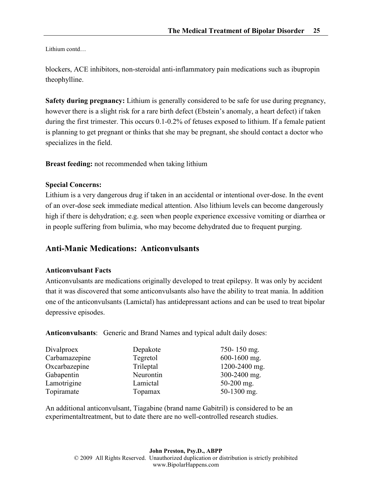Lithium contd…

blockers, ACE inhibitors, non-steroidal anti-inflammatory pain medications such as ibupropin theophylline.

Safety during pregnancy: Lithium is generally considered to be safe for use during pregnancy, however there is a slight risk for a rare birth defect (Ebstein's anomaly, a heart defect) if taken during the first trimester. This occurs 0.1-0.2% of fetuses exposed to lithium. If a female patient is planning to get pregnant or thinks that she may be pregnant, she should contact a doctor who specializes in the field.

Breast feeding: not recommended when taking lithium

#### Special Concerns:

Lithium is a very dangerous drug if taken in an accidental or intentional over-dose. In the event of an over-dose seek immediate medical attention. Also lithium levels can become dangerously high if there is dehydration; e.g. seen when people experience excessive vomiting or diarrhea or in people suffering from bulimia, who may become dehydrated due to frequent purging.

# Anti-Manic Medications: Anticonvulsants

#### Anticonvulsant Facts

Anticonvulsants are medications originally developed to treat epilepsy. It was only by accident that it was discovered that some anticonvulsants also have the ability to treat mania. In addition one of the anticonvulsants (Lamictal) has antidepressant actions and can be used to treat bipolar depressive episodes.

Anticonvulsants: Generic and Brand Names and typical adult daily doses:

| Depakote  | 750-150 mg.   |
|-----------|---------------|
| Tegretol  | 600-1600 mg.  |
| Trileptal | 1200-2400 mg. |
| Neurontin | 300-2400 mg.  |
| Lamictal  | $50-200$ mg.  |
| Topamax   | 50-1300 mg.   |
|           |               |

An additional anticonvulsant, Tiagabine (brand name Gabitril) is considered to be an experimentaltreatment, but to date there are no well-controlled research studies.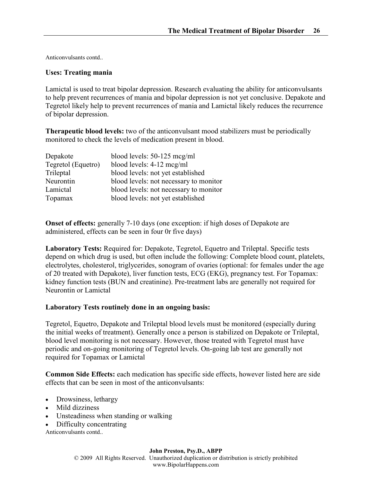Anticonvulsants contd..

#### Uses: Treating mania

Lamictal is used to treat bipolar depression. Research evaluating the ability for anticonvulsants to help prevent recurrences of mania and bipolar depression is not yet conclusive. Depakote and Tegretol likely help to prevent recurrences of mania and Lamictal likely reduces the recurrence of bipolar depression.

Therapeutic blood levels: two of the anticonvulsant mood stabilizers must be periodically monitored to check the levels of medication present in blood.

| blood levels: 50-125 mcg/ml            |
|----------------------------------------|
| blood levels: 4-12 mcg/ml              |
| blood levels: not yet established      |
| blood levels: not necessary to monitor |
| blood levels: not necessary to monitor |
| blood levels: not yet established      |
|                                        |

Onset of effects: generally 7-10 days (one exception: if high doses of Depakote are administered, effects can be seen in four 0r five days)

Laboratory Tests: Required for: Depakote, Tegretol, Equetro and Trileptal. Specific tests depend on which drug is used, but often include the following: Complete blood count, platelets, electrolytes, cholesterol, triglycerides, sonogram of ovaries (optional: for females under the age of 20 treated with Depakote), liver function tests, ECG (EKG), pregnancy test. For Topamax: kidney function tests (BUN and creatinine). Pre-treatment labs are generally not required for Neurontin or Lamictal

#### Laboratory Tests routinely done in an ongoing basis:

Tegretol, Equetro, Depakote and Trileptal blood levels must be monitored (especially during the initial weeks of treatment). Generally once a person is stabilized on Depakote or Trileptal, blood level monitoring is not necessary. However, those treated with Tegretol must have periodic and on-going monitoring of Tegretol levels. On-going lab test are generally not required for Topamax or Lamictal

Common Side Effects: each medication has specific side effects, however listed here are side effects that can be seen in most of the anticonvulsants:

- Drowsiness, lethargy
- Mild dizziness
- Unsteadiness when standing or walking
- Difficulty concentrating

Anticonvulsants contd..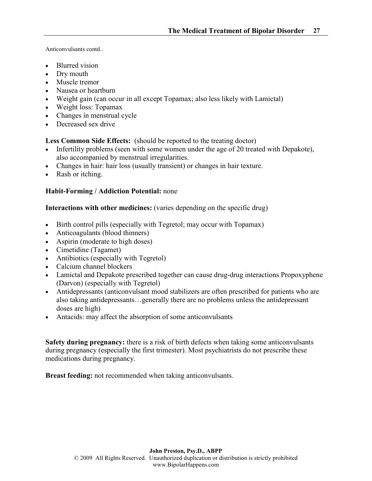Anticonvulsants contd..

- Blurred vision
- Dry mouth
- Muscle tremor
- Nausea or heartburn
- Weight gain (can occur in all except Topamax; also less likely with Lamictal)
- Weight loss: Topamax
- Changes in menstrual cycle
- Decreased sex drive

Less Common Side Effects: (should be reported to the treating doctor)

- Infertility problems (seen with some women under the age of 20 treated with Depakote), also accompanied by menstrual irregularities.
- Changes in hair: hair loss (usually transient) or changes in hair texture.
- Rash or itching.

# Habit-Forming / Addiction Potential: none

Interactions with other medicines: (varies depending on the specific drug)

- Birth control pills (especially with Tegretol; may occur with Topamax)
- Anticoagulants (blood thinners)
- Aspirin (moderate to high doses)
- Cimetidine (Tagamet)
- Antibiotics (especially with Tegretol)
- Calcium channel blockers
- Lamictal and Depakote prescribed together can cause drug-drug interactions Propoxyphene (Darvon) (especially with Tegretol)
- Antidepressants (anticonvulsant mood stabilizers are often prescribed for patients who are also taking antidepressants…generally there are no problems unless the antidepressant doses are high)
- Antacids: may affect the absorption of some anticonvulsants

Safety during pregnancy: there is a risk of birth defects when taking some anticonvulsants during pregnancy (especially the first trimester). Most psychiatrists do not prescribe these medications during pregnancy.

Breast feeding: not recommended when taking anticonvulsants.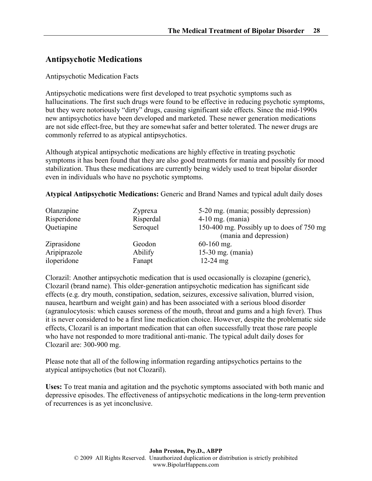# Antipsychotic Medications

#### Antipsychotic Medication Facts

Antipsychotic medications were first developed to treat psychotic symptoms such as hallucinations. The first such drugs were found to be effective in reducing psychotic symptoms, but they were notoriously "dirty" drugs, causing significant side effects. Since the mid-1990s new antipsychotics have been developed and marketed. These newer generation medications are not side effect-free, but they are somewhat safer and better tolerated. The newer drugs are commonly referred to as atypical antipsychotics.

Although atypical antipsychotic medications are highly effective in treating psychotic symptoms it has been found that they are also good treatments for mania and possibly for mood stabilization. Thus these medications are currently being widely used to treat bipolar disorder even in individuals who have no psychotic symptoms.

Atypical Antipsychotic Medications: Generic and Brand Names and typical adult daily doses

| Olanzapine   | Zyprexa   | 5-20 mg. (mania; possibly depression)                               |
|--------------|-----------|---------------------------------------------------------------------|
| Risperidone  | Risperdal | $4-10$ mg. (mania)                                                  |
| Quetiapine   | Seroquel  | 150-400 mg. Possibly up to does of 750 mg<br>(mania and depression) |
| Ziprasidone  | Geodon    | $60-160$ mg.                                                        |
| Aripiprazole | Abilify   | 15-30 mg. $(mania)$                                                 |
| iloperidone  | Fanapt    | $12-24$ mg                                                          |

Clorazil: Another antipsychotic medication that is used occasionally is clozapine (generic), Clozaril (brand name). This older-generation antipsychotic medication has significant side effects (e.g. dry mouth, constipation, sedation, seizures, excessive salivation, blurred vision, nausea, heartburn and weight gain) and has been associated with a serious blood disorder (agranulocytosis: which causes soreness of the mouth, throat and gums and a high fever). Thus it is never considered to be a first line medication choice. However, despite the problematic side effects, Clozaril is an important medication that can often successfully treat those rare people who have not responded to more traditional anti-manic. The typical adult daily doses for Clozaril are: 300-900 mg.

Please note that all of the following information regarding antipsychotics pertains to the atypical antipsychotics (but not Clozaril).

Uses: To treat mania and agitation and the psychotic symptoms associated with both manic and depressive episodes. The effectiveness of antipsychotic medications in the long-term prevention of recurrences is as yet inconclusive.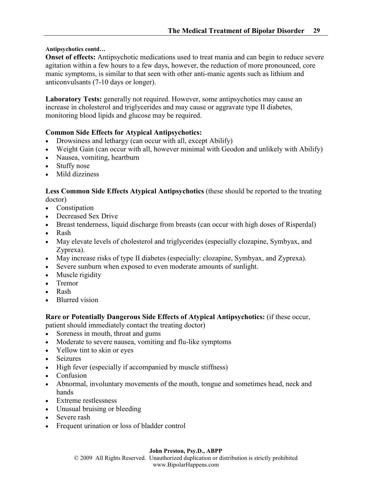#### Antipsychotics contd…

Onset of effects: Antipsychotic medications used to treat mania and can begin to reduce severe agitation within a few hours to a few days, however, the reduction of more pronounced, core manic symptoms, is similar to that seen with other anti-manic agents such as lithium and anticonvulsants (7-10 days or longer).

Laboratory Tests: generally not required. However, some antipsychotics may cause an increase in cholesterol and triglycerides and may cause or aggravate type II diabetes, monitoring blood lipids and glucose may be required.

#### Common Side Effects for Atypical Antipsychotics:

- Drowsiness and lethargy (can occur with all, except Abilify)
- Weight Gain (can occur with all, however minimal with Geodon and unlikely with Abilify)
- Nausea, vomiting, heartburn
- Stuffy nose
- Mild dizziness

#### Less Common Side Effects Atypical Antipsychotics (these should be reported to the treating doctor)

- Constipation
- Decreased Sex Drive
- Breast tenderness, liquid discharge from breasts (can occur with high doses of Risperdal)
- Rash
- May elevate levels of cholesterol and triglycerides (especially clozapine, Symbyax, and Zyprexa).
- May increase risks of type II diabetes (especially: clozapine, Symbyax, and Zyprexa).
- Severe sunburn when exposed to even moderate amounts of sunlight.
- Muscle rigidity
- Tremor
- Rash
- Blurred vision

Rare or Potentially Dangerous Side Effects of Atypical Antipsychotics: (if these occur,

patient should immediately contact the treating doctor)

- Soreness in mouth, throat and gums
- Moderate to severe nausea, vomiting and flu-like symptoms
- Yellow tint to skin or eyes
- Seizures
- High fever (especially if accompanied by muscle stiffness)
- Confusion
- Abnormal, involuntary movements of the mouth, tongue and sometimes head, neck and hands
- Extreme restlessness
- Unusual bruising or bleeding
- Severe rash
- Frequent urination or loss of bladder control

#### John Preston, Psy.D., ABPP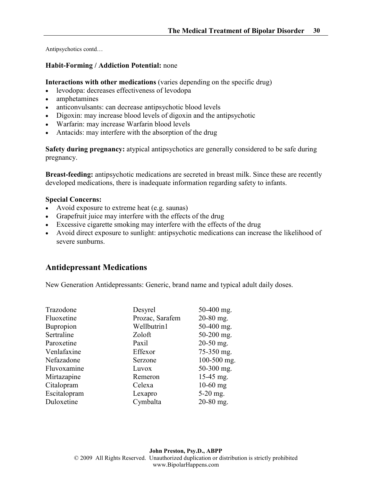Antipsychotics contd…

#### Habit-Forming / Addiction Potential: none

Interactions with other medications (varies depending on the specific drug)

- levodopa: decreases effectiveness of levodopa
- amphetamines
- anticonvulsants: can decrease antipsychotic blood levels
- Digoxin: may increase blood levels of digoxin and the antipsychotic
- Warfarin: may increase Warfarin blood levels
- Antacids: may interfere with the absorption of the drug

Safety during pregnancy: atypical antipsychotics are generally considered to be safe during pregnancy.

Breast-feeding: antipsychotic medications are secreted in breast milk. Since these are recently developed medications, there is inadequate information regarding safety to infants.

#### Special Concerns:

- Avoid exposure to extreme heat (e.g. saunas)
- Grapefruit juice may interfere with the effects of the drug
- Excessive cigarette smoking may interfere with the effects of the drug
- Avoid direct exposure to sunlight: antipsychotic medications can increase the likelihood of severe sunburns.

# Antidepressant Medications

New Generation Antidepressants: Generic, brand name and typical adult daily doses.

| Trazodone        | Desyrel         | 50-400 mg.  |
|------------------|-----------------|-------------|
| Fluoxetine       | Prozac, Sarafem | 20-80 mg.   |
| <b>Bupropion</b> | Wellbutrin1     | 50-400 mg.  |
| Sertraline       | Zoloft          | 50-200 mg.  |
| Paroxetine       | Paxil           | 20-50 mg.   |
| Venlafaxine      | Effexor         | 75-350 mg.  |
| Nefazadone       | Serzone         | 100-500 mg. |
| Fluvoxamine      | Luvox           | 50-300 mg.  |
| Mirtazapine      | Remeron         | 15-45 mg.   |
| Citalopram       | Celexa          | $10-60$ mg  |
| Escitalopram     | Lexapro         | $5-20$ mg.  |
| Duloxetine       | Cymbalta        | $20-80$ mg. |
|                  |                 |             |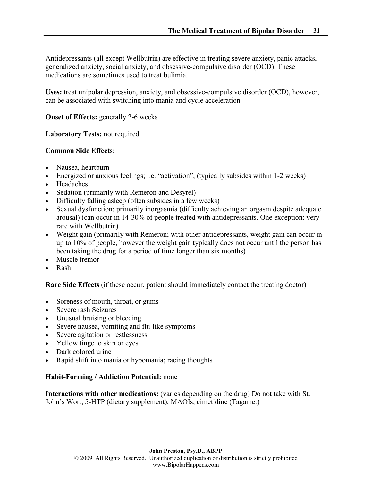Antidepressants (all except Wellbutrin) are effective in treating severe anxiety, panic attacks, generalized anxiety, social anxiety, and obsessive-compulsive disorder (OCD). These medications are sometimes used to treat bulimia.

Uses: treat unipolar depression, anxiety, and obsessive-compulsive disorder (OCD), however, can be associated with switching into mania and cycle acceleration

#### **Onset of Effects: generally 2-6 weeks**

Laboratory Tests: not required

#### Common Side Effects:

- Nausea, heartburn
- Energized or anxious feelings; i.e. "activation"; (typically subsides within 1-2 weeks)
- Headaches
- Sedation (primarily with Remeron and Desyrel)
- Difficulty falling asleep (often subsides in a few weeks)
- Sexual dysfunction: primarily inorgasmia (difficulty achieving an orgasm despite adequate arousal) (can occur in 14-30% of people treated with antidepressants. One exception: very rare with Wellbutrin)
- Weight gain (primarily with Remeron; with other antidepressants, weight gain can occur in up to 10% of people, however the weight gain typically does not occur until the person has been taking the drug for a period of time longer than six months)
- Muscle tremor
- Rash

Rare Side Effects (if these occur, patient should immediately contact the treating doctor)

- Soreness of mouth, throat, or gums
- Severe rash Seizures
- Unusual bruising or bleeding
- Severe nausea, vomiting and flu-like symptoms
- Severe agitation or restlessness
- Yellow tinge to skin or eyes
- Dark colored urine
- Rapid shift into mania or hypomania; racing thoughts

#### Habit-Forming / Addiction Potential: none

Interactions with other medications: (varies depending on the drug) Do not take with St. John's Wort, 5-HTP (dietary supplement), MAOIs, cimetidine (Tagamet)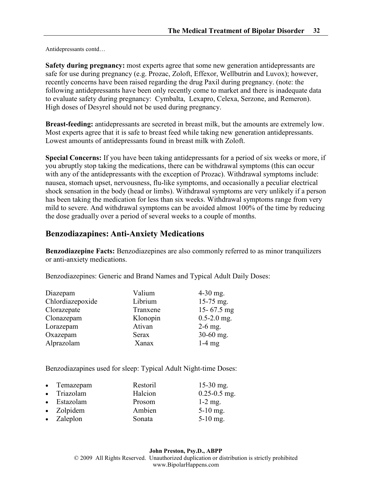Antidepressants contd…

Safety during pregnancy: most experts agree that some new generation antidepressants are safe for use during pregnancy (e.g. Prozac, Zoloft, Effexor, Wellbutrin and Luvox); however, recently concerns have been raised regarding the drug Paxil during pregnancy. (note: the following antidepressants have been only recently come to market and there is inadequate data to evaluate safety during pregnancy: Cymbalta, Lexapro, Celexa, Serzone, and Remeron). High doses of Desyrel should not be used during pregnancy.

Breast-feeding: antidepressants are secreted in breast milk, but the amounts are extremely low. Most experts agree that it is safe to breast feed while taking new generation antidepressants. Lowest amounts of antidepressants found in breast milk with Zoloft.

Special Concerns: If you have been taking antidepressants for a period of six weeks or more, if you abruptly stop taking the medications, there can be withdrawal symptoms (this can occur with any of the antidepressants with the exception of Prozac). Withdrawal symptoms include: nausea, stomach upset, nervousness, flu-like symptoms, and occasionally a peculiar electrical shock sensation in the body (head or limbs). Withdrawal symptoms are very unlikely if a person has been taking the medication for less than six weeks. Withdrawal symptoms range from very mild to severe. And withdrawal symptoms can be avoided almost 100% of the time by reducing the dose gradually over a period of several weeks to a couple of months.

# Benzodiazapines: Anti-Anxiety Medications

Benzodiazepine Facts: Benzodiazepines are also commonly referred to as minor tranquilizers or anti-anxiety medications.

Benzodiazepines: Generic and Brand Names and Typical Adult Daily Doses:

| Diazepam         | Valium   | $4-30$ mg.      |
|------------------|----------|-----------------|
| Chlordiazepoxide | Librium  | 15-75 mg.       |
| Clorazepate      | Tranxene | 15-67.5 $mg$    |
| Clonazepam       | Klonopin | $0.5 - 2.0$ mg. |
| Lorazepam        | Ativan   | $2-6$ mg.       |
| Oxazepam         | Serax    | $30-60$ mg.     |
| Alprazolam       | Xanax    | $1-4$ mg        |

Benzodiazapines used for sleep: Typical Adult Night-time Doses:

| • Temazepam | Restoril | $15-30$ mg.      |
|-------------|----------|------------------|
| • Triazolam | Halcion  | $0.25 - 0.5$ mg. |
| • Estazolam | Prosom   | $1-2$ mg.        |
| • Zolpidem  | Ambien   | $5-10$ mg.       |
| • Zaleplon  | Sonata   | $5-10$ mg.       |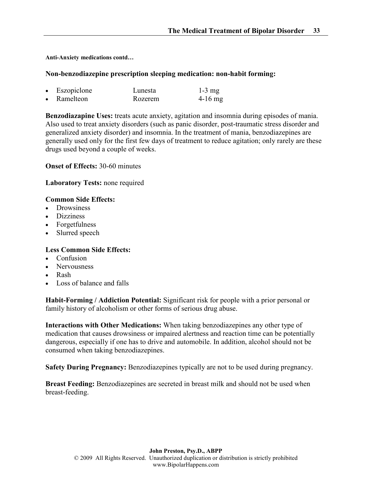Anti-Anxiety medications contd…

#### Non-benzodiazepine prescription sleeping medication: non-habit forming:

| Eszopiclone | Lunesta | $1-3$ mg  |
|-------------|---------|-----------|
| Ramelteon   | Rozerem | $4-16$ mg |

Benzodiazapine Uses: treats acute anxiety, agitation and insomnia during episodes of mania. Also used to treat anxiety disorders (such as panic disorder, post-traumatic stress disorder and generalized anxiety disorder) and insomnia. In the treatment of mania, benzodiazepines are generally used only for the first few days of treatment to reduce agitation; only rarely are these drugs used beyond a couple of weeks.

#### Onset of Effects: 30-60 minutes

#### Laboratory Tests: none required

#### Common Side Effects:

- Drowsiness
- Dizziness
- Forgetfulness
- Slurred speech

#### Less Common Side Effects:

- Confusion
- Nervousness
- Rash
- Loss of balance and falls

Habit-Forming / Addiction Potential: Significant risk for people with a prior personal or family history of alcoholism or other forms of serious drug abuse.

Interactions with Other Medications: When taking benzodiazepines any other type of medication that causes drowsiness or impaired alertness and reaction time can be potentially dangerous, especially if one has to drive and automobile. In addition, alcohol should not be consumed when taking benzodiazepines.

Safety During Pregnancy: Benzodiazepines typically are not to be used during pregnancy.

Breast Feeding: Benzodiazepines are secreted in breast milk and should not be used when breast-feeding.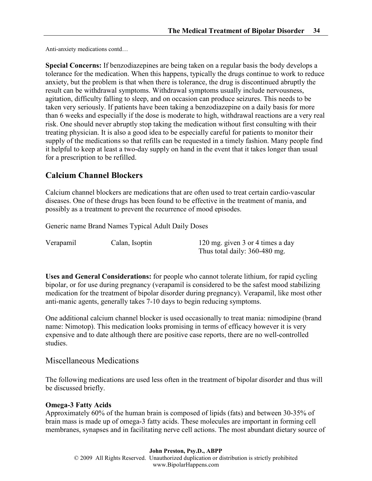Anti-anxiety medications contd…

Special Concerns: If benzodiazepines are being taken on a regular basis the body develops a tolerance for the medication. When this happens, typically the drugs continue to work to reduce anxiety, but the problem is that when there is tolerance, the drug is discontinued abruptly the result can be withdrawal symptoms. Withdrawal symptoms usually include nervousness, agitation, difficulty falling to sleep, and on occasion can produce seizures. This needs to be taken very seriously. If patients have been taking a benzodiazepine on a daily basis for more than 6 weeks and especially if the dose is moderate to high, withdrawal reactions are a very real risk. One should never abruptly stop taking the medication without first consulting with their treating physician. It is also a good idea to be especially careful for patients to monitor their supply of the medications so that refills can be requested in a timely fashion. Many people find it helpful to keep at least a two-day supply on hand in the event that it takes longer than usual for a prescription to be refilled.

# Calcium Channel Blockers

Calcium channel blockers are medications that are often used to treat certain cardio-vascular diseases. One of these drugs has been found to be effective in the treatment of mania, and possibly as a treatment to prevent the recurrence of mood episodes.

Generic name Brand Names Typical Adult Daily Doses

Verapamil Calan, Isoptin 120 mg. given 3 or 4 times a day Thus total daily: 360-480 mg.

Uses and General Considerations: for people who cannot tolerate lithium, for rapid cycling bipolar, or for use during pregnancy (verapamil is considered to be the safest mood stabilizing medication for the treatment of bipolar disorder during pregnancy). Verapamil, like most other anti-manic agents, generally takes 7-10 days to begin reducing symptoms.

One additional calcium channel blocker is used occasionally to treat mania: nimodipine (brand name: Nimotop). This medication looks promising in terms of efficacy however it is very expensive and to date although there are positive case reports, there are no well-controlled studies.

#### Miscellaneous Medications

The following medications are used less often in the treatment of bipolar disorder and thus will be discussed briefly.

#### Omega-3 Fatty Acids

Approximately 60% of the human brain is composed of lipids (fats) and between 30-35% of brain mass is made up of omega-3 fatty acids. These molecules are important in forming cell membranes, synapses and in facilitating nerve cell actions. The most abundant dietary source of

John Preston, Psy.D., ABPP © 2009 All Rights Reserved. Unauthorized duplication or distribution is strictly prohibited www.BipolarHappens.com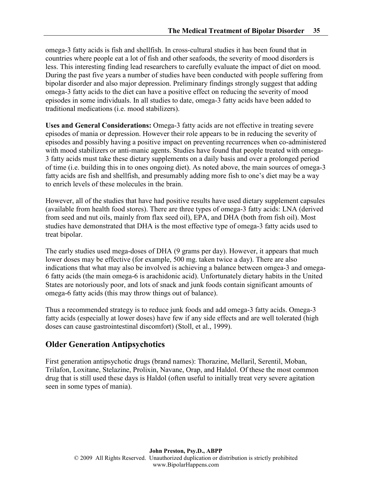omega-3 fatty acids is fish and shellfish. In cross-cultural studies it has been found that in countries where people eat a lot of fish and other seafoods, the severity of mood disorders is less. This interesting finding lead researchers to carefully evaluate the impact of diet on mood. During the past five years a number of studies have been conducted with people suffering from bipolar disorder and also major depression. Preliminary findings strongly suggest that adding omega-3 fatty acids to the diet can have a positive effect on reducing the severity of mood episodes in some individuals. In all studies to date, omega-3 fatty acids have been added to traditional medications (i.e. mood stabilizers).

Uses and General Considerations: Omega-3 fatty acids are not effective in treating severe episodes of mania or depression. However their role appears to be in reducing the severity of episodes and possibly having a positive impact on preventing recurrences when co-administered with mood stabilizers or anti-manic agents. Studies have found that people treated with omega-3 fatty acids must take these dietary supplements on a daily basis and over a prolonged period of time (i.e. building this in to ones ongoing diet). As noted above, the main sources of omega-3 fatty acids are fish and shellfish, and presumably adding more fish to one's diet may be a way to enrich levels of these molecules in the brain.

However, all of the studies that have had positive results have used dietary supplement capsules (available from health food stores). There are three types of omega-3 fatty acids: LNA (derived from seed and nut oils, mainly from flax seed oil), EPA, and DHA (both from fish oil). Most studies have demonstrated that DHA is the most effective type of omega-3 fatty acids used to treat bipolar.

The early studies used mega-doses of DHA (9 grams per day). However, it appears that much lower doses may be effective (for example, 500 mg. taken twice a day). There are also indications that what may also be involved is achieving a balance between omgea-3 and omega-6 fatty acids (the main omega-6 is arachidonic acid). Unfortunately dietary habits in the United States are notoriously poor, and lots of snack and junk foods contain significant amounts of omega-6 fatty acids (this may throw things out of balance).

Thus a recommended strategy is to reduce junk foods and add omega-3 fatty acids. Omega-3 fatty acids (especially at lower doses) have few if any side effects and are well tolerated (high doses can cause gastrointestinal discomfort) (Stoll, et al., 1999).

# Older Generation Antipsychotics

First generation antipsychotic drugs (brand names): Thorazine, Mellaril, Serentil, Moban, Trilafon, Loxitane, Stelazine, Prolixin, Navane, Orap, and Haldol. Of these the most common drug that is still used these days is Haldol (often useful to initially treat very severe agitation seen in some types of mania).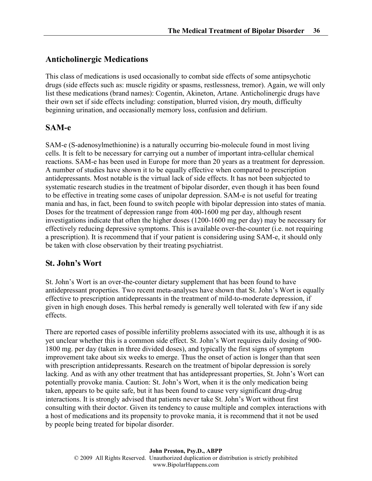# Anticholinergic Medications

This class of medications is used occasionally to combat side effects of some antipsychotic drugs (side effects such as: muscle rigidity or spasms, restlessness, tremor). Again, we will only list these medications (brand names): Cogentin, Akineton, Artane. Anticholinergic drugs have their own set if side effects including: constipation, blurred vision, dry mouth, difficulty beginning urination, and occasionally memory loss, confusion and delirium.

# SAM-e

SAM-e (S-adenosylmethionine) is a naturally occurring bio-molecule found in most living cells. It is felt to be necessary for carrying out a number of important intra-cellular chemical reactions. SAM-e has been used in Europe for more than 20 years as a treatment for depression. A number of studies have shown it to be equally effective when compared to prescription antidepressants. Most notable is the virtual lack of side effects. It has not been subjected to systematic research studies in the treatment of bipolar disorder, even though it has been found to be effective in treating some cases of unipolar depression. SAM-e is not useful for treating mania and has, in fact, been found to switch people with bipolar depression into states of mania. Doses for the treatment of depression range from 400-1600 mg per day, although resent investigations indicate that often the higher doses (1200-1600 mg per day) may be necessary for effectively reducing depressive symptoms. This is available over-the-counter (i.e. not requiring a prescription). It is recommend that if your patient is considering using SAM-e, it should only be taken with close observation by their treating psychiatrist.

# St. John's Wort

St. John's Wort is an over-the-counter dietary supplement that has been found to have antidepressant properties. Two recent meta-analyses have shown that St. John's Wort is equally effective to prescription antidepressants in the treatment of mild-to-moderate depression, if given in high enough doses. This herbal remedy is generally well tolerated with few if any side effects.

There are reported cases of possible infertility problems associated with its use, although it is as yet unclear whether this is a common side effect. St. John's Wort requires daily dosing of 900- 1800 mg. per day (taken in three divided doses), and typically the first signs of symptom improvement take about six weeks to emerge. Thus the onset of action is longer than that seen with prescription antidepressants. Research on the treatment of bipolar depression is sorely lacking. And as with any other treatment that has antidepressant properties, St. John's Wort can potentially provoke mania. Caution: St. John's Wort, when it is the only medication being taken, appears to be quite safe, but it has been found to cause very significant drug-drug interactions. It is strongly advised that patients never take St. John's Wort without first consulting with their doctor. Given its tendency to cause multiple and complex interactions with a host of medications and its propensity to provoke mania, it is recommend that it not be used by people being treated for bipolar disorder.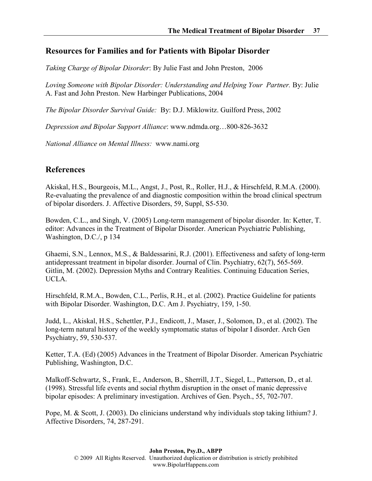# Resources for Families and for Patients with Bipolar Disorder

Taking Charge of Bipolar Disorder: By Julie Fast and John Preston, 2006

Loving Someone with Bipolar Disorder: Understanding and Helping Your Partner. By: Julie A. Fast and John Preston. New Harbinger Publications, 2004

The Bipolar Disorder Survival Guide: By: D.J. Miklowitz. Guilford Press, 2002

Depression and Bipolar Support Alliance: www.ndmda.org…800-826-3632

National Alliance on Mental Illness: www.nami.org

# References

Akiskal, H.S., Bourgeois, M.L., Angst, J., Post, R., Roller, H.J., & Hirschfeld, R.M.A. (2000). Re-evaluating the prevalence of and diagnostic composition within the broad clinical spectrum of bipolar disorders. J. Affective Disorders, 59, Suppl, S5-530.

Bowden, C.L., and Singh, V. (2005) Long-term management of bipolar disorder. In: Ketter, T. editor: Advances in the Treatment of Bipolar Disorder. American Psychiatric Publishing, Washington, D.C./, p 134

Ghaemi, S.N., Lennox, M.S., & Baldessarini, R.J. (2001). Effectiveness and safety of long-term antidepressant treatment in bipolar disorder. Journal of Clin. Psychiatry, 62(7), 565-569. Gitlin, M. (2002). Depression Myths and Contrary Realities. Continuing Education Series, UCLA.

Hirschfeld, R.M.A., Bowden, C.L., Perlis, R.H., et al. (2002). Practice Guideline for patients with Bipolar Disorder. Washington, D.C. Am J. Psychiatry, 159, 1-50.

Judd, L., Akiskal, H.S., Schettler, P.J., Endicott, J., Maser, J., Solomon, D., et al. (2002). The long-term natural history of the weekly symptomatic status of bipolar I disorder. Arch Gen Psychiatry, 59, 530-537.

Ketter, T.A. (Ed) (2005) Advances in the Treatment of Bipolar Disorder. American Psychiatric Publishing, Washington, D.C.

Malkoff-Schwartz, S., Frank, E., Anderson, B., Sherrill, J.T., Siegel, L., Patterson, D., et al. (1998). Stressful life events and social rhythm disruption in the onset of manic depressive bipolar episodes: A preliminary investigation. Archives of Gen. Psych., 55, 702-707.

Pope, M. & Scott, J. (2003). Do clinicians understand why individuals stop taking lithium? J. Affective Disorders, 74, 287-291.